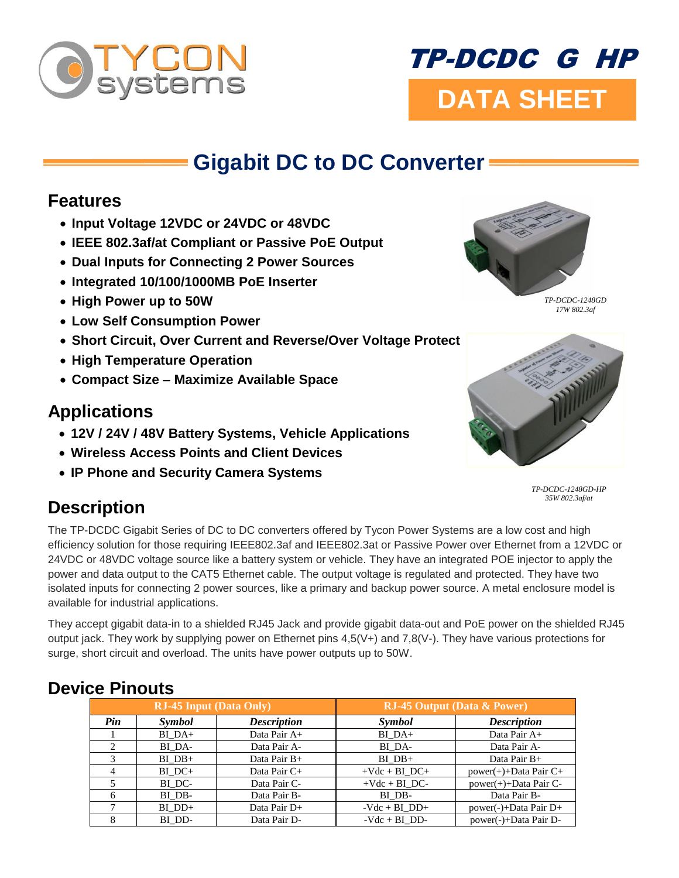

# **DATA SHEET** TP-DCDC G HP

## **Gigabit DC to DC Converter**

#### **Features**

- **Input Voltage 12VDC or 24VDC or 48VDC**
- **IEEE 802.3af/at Compliant or Passive PoE Output**
- **Dual Inputs for Connecting 2 Power Sources**
- **Integrated 10/100/1000MB PoE Inserter**
- **High Power up to 50W**
- **Low Self Consumption Power**
- **Short Circuit, Over Current and Reverse/Over Voltage Protect**
- **High Temperature Operation**
- **Compact Size – Maximize Available Space**

### **Applications**

- **12V / 24V / 48V Battery Systems, Vehicle Applications**
- **Wireless Access Points and Client Devices**
- **IP Phone and Security Camera Systems**



*TP-DCDC-1248GD 17W 802.3af*



*TP-DCDC-1248GD-HP 35W 802.3af/at*

## **Description**

The TP-DCDC Gigabit Series of DC to DC converters offered by Tycon Power Systems are a low cost and high efficiency solution for those requiring IEEE802.3af and IEEE802.3at or Passive Power over Ethernet from a 12VDC or 24VDC or 48VDC voltage source like a battery system or vehicle. They have an integrated POE injector to apply the power and data output to the CAT5 Ethernet cable. The output voltage is regulated and protected. They have two isolated inputs for connecting 2 power sources, like a primary and backup power source. A metal enclosure model is available for industrial applications.

They accept gigabit data-in to a shielded RJ45 Jack and provide gigabit data-out and PoE power on the shielded RJ45 output jack. They work by supplying power on Ethernet pins 4,5(V+) and 7,8(V-). They have various protections for surge, short circuit and overload. The units have power outputs up to 50W.

#### **RJ-45 Input (Data Only) RJ-45 Output (Data & Power)** *Pin Symbol Description Symbol Description* 1 BIDA+ Data Pair A+ BIDA+ Data Pair A+ 2 | BI\_DA- | Data Pair A- | BI\_DA- | Data Pair A-3 BI\_DB+ Data Pair B+ BI\_DB+ Data Pair B+ 4 BI\_DC+ Data Pair C+ +Vdc + BI\_DC+ power(+)+Data Pair C+ 5 BI\_DC- Data Pair C- +Vdc + BI\_DC- power(+)+Data Pair C-6 | BI\_DB- | Data Pair B- | BI\_DB- | Data Pair B-7 BI\_DD+ Data Pair D+ -Vdc + BI\_DD+ power(-)+Data Pair D+ 8 | BI\_DD- | Data Pair D- - Vdc + BI\_DD- power(-)+Data Pair D-

#### **Device Pinouts**